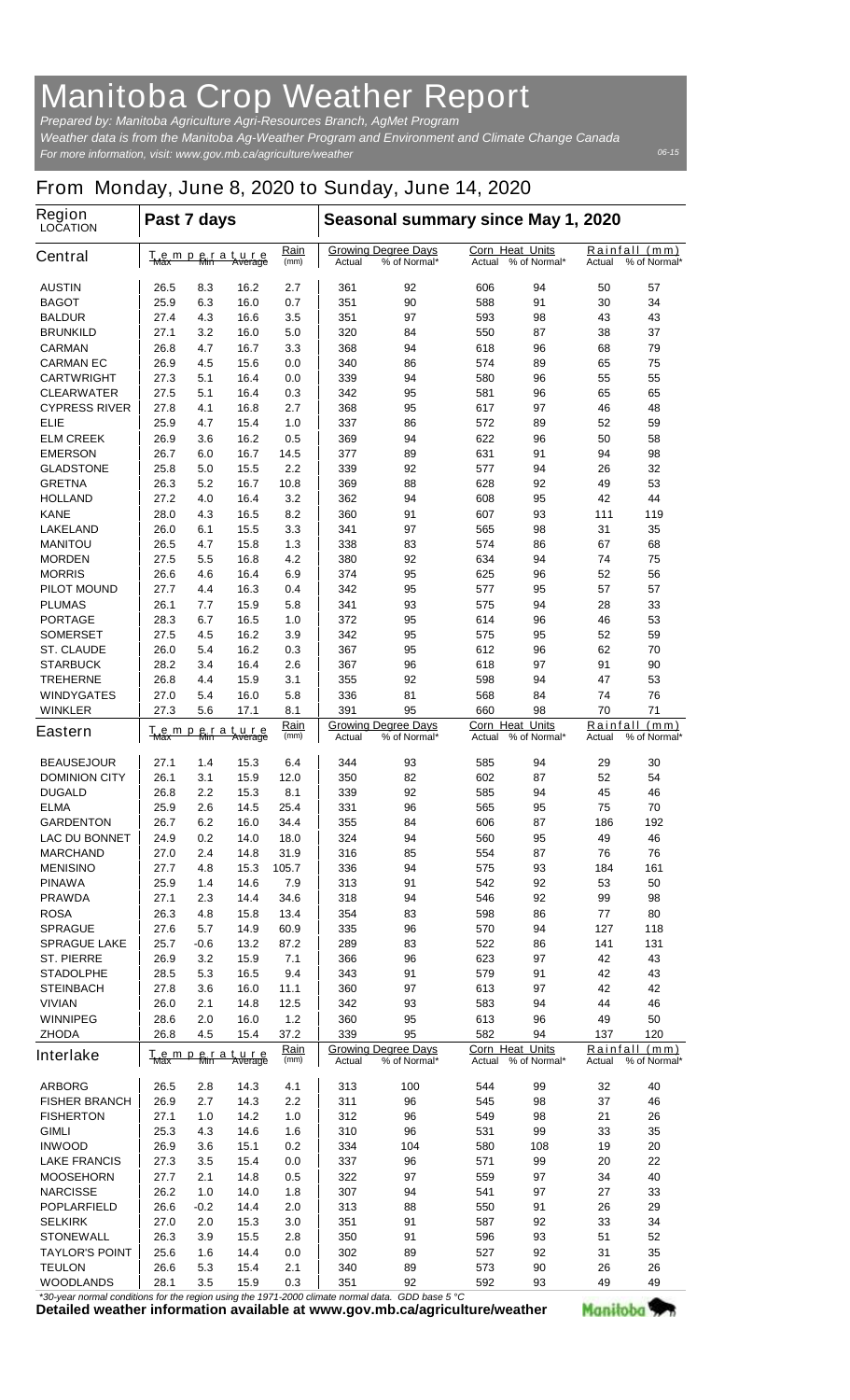## **Manitoba Crop Weather Report**

*For more information, visit: www.gov.mb.ca/agriculture/weather Prepared by: Manitoba Agriculture Agri-Resources Branch, AgMet Program Weather data is from the Manitoba Ag-Weather Program and Environment and Climate Change Canada*

## **From Monday, June 8, 2020 to Sunday, June 14, 2020**

| <b>Region</b><br><b>LOCATION</b>        | Past 7 days                                                                      |            |                               |                                                      | Seasonal summary since May 1, 2020                   |                                                  |                                                  |                                         |                                            |          |  |
|-----------------------------------------|----------------------------------------------------------------------------------|------------|-------------------------------|------------------------------------------------------|------------------------------------------------------|--------------------------------------------------|--------------------------------------------------|-----------------------------------------|--------------------------------------------|----------|--|
| <b>Central</b>                          | <u>Temperature</u><br><del>Max Min Average</del>                                 |            | <u>Rain</u><br>(mm)           | <b>Growing Degree Days</b><br>% of Normal*<br>Actual |                                                      | <b>Corn Heat Units</b><br>% of Normal*<br>Actual |                                                  | Rainfall (mm)<br>% of Normal*<br>Actual |                                            |          |  |
| <b>AUSTIN</b>                           | 26.5                                                                             | 8.3        | 16.2                          | 2.7                                                  | 361                                                  | 92                                               | 606                                              | 94                                      | 50                                         | 57       |  |
| <b>BAGOT</b>                            | 25.9                                                                             | 6.3        | 16.0                          | 0.7                                                  | 351                                                  | 90                                               | 588                                              | 91                                      | 30                                         | 34       |  |
| <b>BALDUR</b>                           | 27.4                                                                             | 4.3        | 16.6                          | 3.5                                                  | 351                                                  | 97                                               | 593                                              | 98                                      | 43                                         | 43       |  |
| BRUNKILD                                | 27.1                                                                             | 3.2        | 16.0                          | 5.0                                                  | 320                                                  | 84                                               | 550                                              | 87                                      | 38                                         | 37       |  |
| <b>CARMAN</b>                           | 26.8                                                                             | 4.7        | 16.7                          | 3.3                                                  | 368                                                  | 94                                               | 618                                              | 96                                      | 68                                         | 79       |  |
| <b>CARMAN EC</b>                        | 26.9                                                                             | 4.5        | 15.6                          | 0.0                                                  | 340                                                  | 86                                               | 574                                              | 89                                      | 65                                         | 75       |  |
| <b>CARTWRIGHT</b>                       | 27.3                                                                             | 5.1        | 16.4                          | 0.0                                                  | 339                                                  | 94                                               | 580                                              | 96                                      | 55                                         | 55       |  |
| <b>CLEARWATER</b>                       | 27.5                                                                             | 5.1        | 16.4                          | 0.3                                                  | 342                                                  | 95                                               | 581                                              | 96                                      | 65                                         | 65       |  |
| <b>CYPRESS RIVER</b>                    | 27.8                                                                             | 4.1        | 16.8                          | 2.7                                                  | 368                                                  | 95                                               | 617                                              | 97                                      | 46                                         | 48       |  |
| ELIE                                    | 25.9                                                                             | 4.7        | 15.4                          | 1.0                                                  | 337                                                  | 86                                               | 572                                              | 89<br>96                                | 52<br>50                                   | 59       |  |
| <b>ELM CREEK</b><br><b>EMERSON</b>      | 26.9<br>26.7                                                                     | 3.6<br>6.0 | 16.2<br>16.7                  | 0.5<br>14.5                                          | 369<br>377                                           | 94<br>89                                         | 622<br>631                                       | 91                                      | 94                                         | 58<br>98 |  |
| <b>GLADSTONE</b>                        | 25.8                                                                             | 5.0        | 15.5                          | 2.2                                                  | 339                                                  | 92                                               | 577                                              | 94                                      | 26                                         | 32       |  |
| <b>GRETNA</b>                           | 26.3                                                                             | 5.2        | 16.7                          | 10.8                                                 | 369                                                  | 88                                               | 628                                              | 92                                      | 49                                         | 53       |  |
| <b>HOLLAND</b>                          | 27.2                                                                             | 4.0        | 16.4                          | 3.2                                                  | 362                                                  | 94                                               | 608                                              | 95                                      | 42                                         | 44       |  |
| <b>KANE</b>                             | 28.0                                                                             | 4.3        | 16.5                          | 8.2                                                  | 360                                                  | 91                                               | 607                                              | 93                                      | 111                                        | 119      |  |
| <b>LAKELAND</b>                         | 26.0                                                                             | 6.1        | 15.5                          | 3.3                                                  | 341                                                  | 97                                               | 565                                              | 98                                      | 31                                         | 35       |  |
| <b>MANITOU</b>                          | 26.5                                                                             | 4.7        | 15.8                          | 1.3                                                  | 338                                                  | 83                                               | 574                                              | 86                                      | 67                                         | 68       |  |
| <b>MORDEN</b>                           | 27.5                                                                             | 5.5        | 16.8                          | 4.2                                                  | 380                                                  | 92                                               | 634                                              | 94                                      | 74                                         | 75       |  |
| <b>MORRIS</b>                           | 26.6                                                                             | 4.6        | 16.4                          | 6.9                                                  | 374                                                  | 95                                               | 625                                              | 96                                      | 52                                         | 56       |  |
| <b>PILOT MOUND</b>                      | 27.7                                                                             | 4.4        | 16.3                          | 0.4                                                  | 342                                                  | 95                                               | 577                                              | 95                                      | 57                                         | 57       |  |
| <b>PLUMAS</b>                           | 26.1                                                                             | 7.7        | 15.9                          | 5.8                                                  | 341                                                  | 93                                               | 575                                              | 94                                      | 28                                         | 33       |  |
| <b>PORTAGE</b>                          | 28.3                                                                             | 6.7        | 16.5                          | 1.0                                                  | 372                                                  | 95                                               | 614                                              | 96                                      | 46                                         | 53       |  |
| SOMERSET                                | 27.5                                                                             | 4.5        | 16.2                          | 3.9                                                  | 342                                                  | 95                                               | 575                                              | 95                                      | 52                                         | 59       |  |
| <b>ST. CLAUDE</b>                       | 26.0                                                                             | 5.4        | 16.2                          | 0.3                                                  | 367                                                  | 95                                               | 612                                              | 96                                      | 62                                         | 70       |  |
| <b>STARBUCK</b>                         | 28.2                                                                             | 3.4        | 16.4                          | 2.6                                                  | 367                                                  | 96                                               | 618                                              | 97                                      | 91                                         | 90       |  |
| <b>TREHERNE</b>                         | 26.8                                                                             | 4.4        | 15.9                          | 3.1                                                  | 355                                                  | 92                                               | 598                                              | 94                                      | 47                                         | 53       |  |
| <b>WINDYGATES</b><br><b>WINKLER</b>     | 27.0<br>27.3                                                                     | 5.4        | 16.0                          | 5.8                                                  | 336<br>391                                           | 81<br>95                                         | 568<br>660                                       | 84<br>98                                | 74<br>70                                   | 76<br>71 |  |
|                                         |                                                                                  | 5.6        | 17.1                          | 8.1<br><u>Rain</u>                                   |                                                      |                                                  |                                                  |                                         |                                            |          |  |
| Eastern                                 | T <sub>Max</sub> m p                                                             |            | <b>B</b> <sub>in</sub> a ture | (mm)                                                 | <b>Growing Degree Days</b><br>% of Normal*<br>Actual |                                                  | <b>Corn Heat Units</b><br>% of Normal*<br>Actual |                                         | Rainfall (mm)<br>% of Normal*<br>Actual    |          |  |
| <b>BEAUSEJOUR</b>                       | 27.1                                                                             | 1.4        | 15.3                          | 6.4                                                  | 344                                                  | 93                                               | 585                                              | 94                                      | 29                                         | 30       |  |
| <b>DOMINION CITY</b>                    | 26.1                                                                             | 3.1        | 15.9                          | 12.0                                                 | 350                                                  | 82                                               | 602                                              | 87                                      | 52                                         | 54       |  |
| <b>DUGALD</b>                           | 26.8                                                                             | 2.2        | 15.3                          | 8.1                                                  | 339                                                  | 92                                               | 585                                              | 94                                      | 45                                         | 46       |  |
| <b>ELMA</b>                             | 25.9                                                                             | 2.6        | 14.5                          | 25.4                                                 | 331                                                  | 96                                               | 565                                              | 95                                      | 75                                         | 70       |  |
| <b>GARDENTON</b>                        | 26.7                                                                             | 6.2        | 16.0                          | 34.4                                                 | 355                                                  | 84                                               | 606                                              | 87                                      | 186                                        | 192      |  |
| <b>LAC DU BONNET</b><br><b>MARCHAND</b> | 24.9<br>27.0                                                                     | 0.2<br>2.4 | 14.0<br>14.8                  | 18.0<br>31.9                                         | 324<br>316                                           | 94<br>85                                         | 560<br>554                                       | 95<br>87                                | 49<br>76                                   | 46<br>76 |  |
| <b>MENISINO</b>                         | 27.7                                                                             | 4.8        | 15.3                          | 105.7                                                | 336                                                  | 94                                               | 575                                              | 93                                      | 184                                        | 161      |  |
| <b>PINAWA</b>                           | 25.9                                                                             | 1.4        | 14.6                          | 7.9                                                  | 313                                                  | 91                                               | 542                                              | 92                                      | 53                                         | 50       |  |
| <b>PRAWDA</b>                           | 27.1                                                                             | 2.3        | 14.4                          | 34.6                                                 | 318                                                  | 94                                               | 546                                              | 92                                      | 99                                         | 98       |  |
| <b>ROSA</b>                             | 26.3                                                                             | 4.8        | 15.8                          | 13.4                                                 | 354                                                  | 83                                               | 598                                              | 86                                      | 77                                         | 80       |  |
| <b>SPRAGUE</b>                          | 27.6                                                                             | 5.7        | 14.9                          | 60.9                                                 | 335                                                  | 96                                               | 570                                              | 94                                      | 127                                        | 118      |  |
| <b>SPRAGUE LAKE</b>                     | 25.7                                                                             | -0.6       | 13.2                          | 87.2                                                 | 289                                                  | 83                                               | 522                                              | 86                                      | 141                                        | 131      |  |
| <b>ST. PIERRE</b>                       | 26.9                                                                             | 3.2        | 15.9                          | 7.1                                                  | 366                                                  | 96                                               | 623                                              | 97                                      | 42                                         | 43       |  |
| <b>STADOLPHE</b>                        | 28.5                                                                             | 5.3        | 16.5                          | 9.4                                                  | 343                                                  | 91                                               | 579                                              | 91                                      | 42                                         | 43       |  |
| <b>STEINBACH</b>                        | 27.8                                                                             | 3.6        | 16.0                          | 11.1                                                 | 360                                                  | 97                                               | 613                                              | 97                                      | 42                                         | 42       |  |
| <b>VIVIAN</b>                           | 26.0                                                                             | 2.1        | 14.8                          | 12.5                                                 | 342                                                  | 93                                               | 583                                              | 94                                      | 44                                         | 46       |  |
| <b>WINNIPEG</b>                         | 28.6                                                                             | 2.0        | 16.0                          | $1.2$                                                | 360                                                  | 95                                               | 613                                              | 96                                      | 49                                         | 50       |  |
| <b>ZHODA</b>                            | 26.8                                                                             | 4.5        | 15.4                          | 37.2                                                 | 339                                                  | 95                                               | 582                                              | 94                                      | 137                                        | 120      |  |
| <b>Interlake</b>                        | <b>Rain</b><br><u>erature</u><br>Min Average<br><u>T<sub>Max</sub>mp</u><br>(mm) |            |                               |                                                      | Actual                                               | <b>Growing Degree Days</b><br>% of Normal*       | <b>Corn Heat Units</b><br>Actual                 | % of Normal*                            | Rainfall<br>(mm)<br>Actual<br>% of Normal* |          |  |
| <b>ARBORG</b>                           | 26.5                                                                             | 2.8        | 14.3                          | 4.1                                                  | 313                                                  | 100                                              | 544                                              | 99                                      | 32                                         | 40       |  |
| <b>FISHER BRANCH</b>                    | 26.9                                                                             | 2.7        | 14.3                          | 2.2                                                  | 311                                                  | 96                                               | 545                                              | 98                                      | 37                                         | 46       |  |
| <b>FISHERTON</b>                        | 27.1                                                                             | 1.0        | 14.2                          | 1.0                                                  | 312                                                  | 96                                               | 549                                              | 98                                      | 21                                         | 26       |  |
| <b>GIMLI</b>                            | 25.3                                                                             | 4.3        | 14.6                          | 1.6                                                  | 310                                                  | 96                                               | 531                                              | 99                                      | 33                                         | 35       |  |
| <b>INWOOD</b>                           | 26.9                                                                             | 3.6        | 15.1                          | 0.2                                                  | 334                                                  | 104                                              | 580                                              | 108                                     | 19                                         | 20       |  |
| <b>LAKE FRANCIS</b>                     | 27.3                                                                             | 3.5        | 15.4                          | 0.0                                                  | 337                                                  | 96                                               | 571                                              | 99                                      | 20                                         | 22       |  |
| <b>MOOSEHORN</b>                        | 27.7                                                                             | 2.1        | 14.8                          | 0.5                                                  | 322                                                  | 97                                               | 559                                              | 97                                      | 34                                         | 40       |  |
| <b>NARCISSE</b>                         | 26.2                                                                             | 1.0        | 14.0                          | 1.8                                                  | 307                                                  | 94                                               | 541                                              | 97                                      | 27                                         | 33       |  |
| <b>POPLARFIELD</b>                      | 26.6                                                                             | $-0.2$     | 14.4                          | 2.0                                                  | 313                                                  | 88                                               | 550                                              | 91                                      | 26                                         | 29       |  |
| <b>SELKIRK</b>                          | 27.0                                                                             | 2.0        | 15.3                          | 3.0                                                  | 351                                                  | 91                                               | 587                                              | 92                                      | 33                                         | 34       |  |
| <b>STONEWALL</b>                        | 26.3                                                                             | 3.9        | 15.5                          | 2.8                                                  | 350                                                  | 91                                               | 596                                              | 93                                      | 51                                         | 52       |  |
| <b>TAYLOR'S POINT</b>                   | 25.6                                                                             | 1.6        | 14.4                          | 0.0                                                  | 302                                                  | 89                                               | 527                                              | 92                                      | 31                                         | 35       |  |
| <b>TEULON</b>                           | 26.6                                                                             | 5.3        | 15.4                          | 2.1                                                  | 340                                                  | 89                                               | 573                                              | 90                                      | 26                                         | 26       |  |
| WOODLANDS                               | 28.1                                                                             | 3.5        | 15.9                          | 0.3                                                  | 351                                                  | 92                                               | 592                                              | 93                                      | 49                                         | 49       |  |

*\*30-year normal conditions for the region using the 1971-2000 climate normal data. GDD base 5 °C*<br>Detailed weather information available at www.gov.mb.ca/agriculture/weather

Manitoba<sup>y</sup>